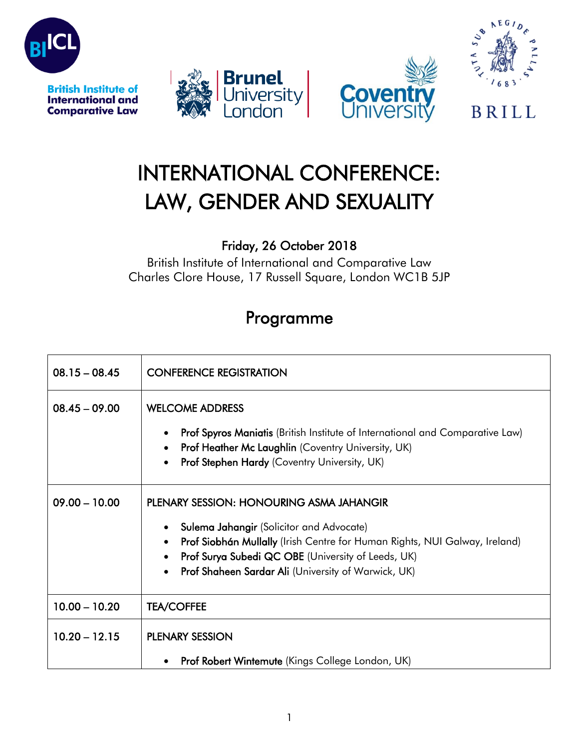







## **BRILL**

## INTERNATIONAL CONFERENCE: LAW, GENDER AND SEXUALITY

## Friday, 26 October 2018

British Institute of International and Comparative Law Charles Clore House, 17 Russell Square, London WC1B 5JP

## Programme

| $08.15 - 08.45$ | <b>CONFERENCE REGISTRATION</b>                                                                                                                                                                                                                                                                                                                    |
|-----------------|---------------------------------------------------------------------------------------------------------------------------------------------------------------------------------------------------------------------------------------------------------------------------------------------------------------------------------------------------|
| $08.45 - 09.00$ | <b>WELCOME ADDRESS</b><br>Prof Spyros Maniatis (British Institute of International and Comparative Law)<br>$\bullet$<br>Prof Heather Mc Laughlin (Coventry University, UK)<br>$\bullet$<br>Prof Stephen Hardy (Coventry University, UK)<br>$\bullet$                                                                                              |
| $09.00 - 10.00$ | <b>PLENARY SESSION: HONOURING ASMA JAHANGIR</b><br><b>Sulema Jahangir</b> (Solicitor and Advocate)<br>$\bullet$<br>Prof Siobhán Mullally (Irish Centre for Human Rights, NUI Galway, Ireland)<br>$\bullet$<br>Prof Surya Subedi QC OBE (University of Leeds, UK)<br>$\bullet$<br>Prof Shaheen Sardar Ali (University of Warwick, UK)<br>$\bullet$ |
| $10.00 - 10.20$ | <b>TEA/COFFEE</b>                                                                                                                                                                                                                                                                                                                                 |
| $10.20 - 12.15$ | <b>PLENARY SESSION</b><br><b>Prof Robert Wintemute (Kings College London, UK)</b><br>$\bullet$                                                                                                                                                                                                                                                    |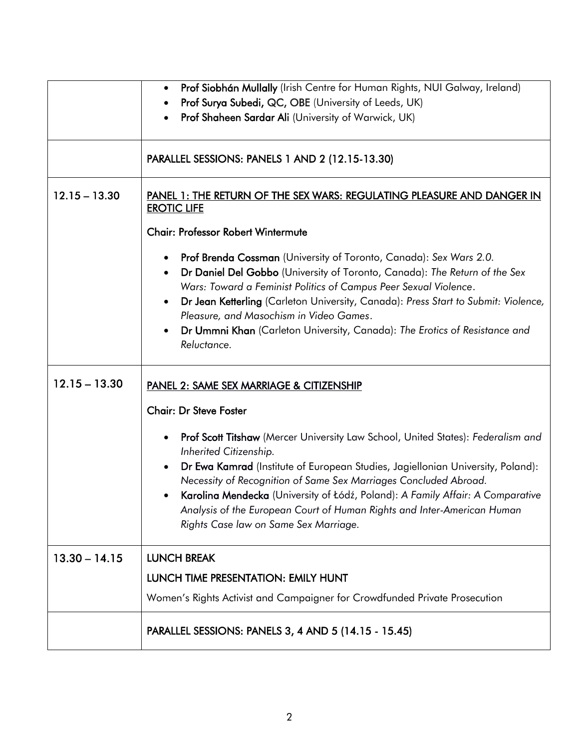|                 | Prof Siobhán Mullally (Irish Centre for Human Rights, NUI Galway, Ireland)<br>$\bullet$                                                                          |
|-----------------|------------------------------------------------------------------------------------------------------------------------------------------------------------------|
|                 | Prof Surya Subedi, QC, OBE (University of Leeds, UK)                                                                                                             |
|                 | Prof Shaheen Sardar Ali (University of Warwick, UK)                                                                                                              |
|                 |                                                                                                                                                                  |
|                 | PARALLEL SESSIONS: PANELS 1 AND 2 (12.15-13.30)                                                                                                                  |
|                 |                                                                                                                                                                  |
| $12.15 - 13.30$ | PANEL 1: THE RETURN OF THE SEX WARS: REGULATING PLEASURE AND DANGER IN<br><b>EROTIC LIFE</b>                                                                     |
|                 |                                                                                                                                                                  |
|                 | <b>Chair: Professor Robert Wintermute</b>                                                                                                                        |
|                 | Prof Brenda Cossman (University of Toronto, Canada): Sex Wars 2.0.<br>٠                                                                                          |
|                 | Dr Daniel Del Gobbo (University of Toronto, Canada): The Return of the Sex<br>٠                                                                                  |
|                 | Wars: Toward a Feminist Politics of Campus Peer Sexual Violence.                                                                                                 |
|                 | Dr Jean Ketterling (Carleton University, Canada): Press Start to Submit: Violence,<br>$\bullet$                                                                  |
|                 | Pleasure, and Masochism in Video Games.                                                                                                                          |
|                 | Dr Ummni Khan (Carleton University, Canada): The Erotics of Resistance and<br>$\bullet$<br>Reluctance.                                                           |
|                 |                                                                                                                                                                  |
| $12.15 - 13.30$ | PANEL 2: SAME SEX MARRIAGE & CITIZENSHIP                                                                                                                         |
|                 | <b>Chair: Dr Steve Foster</b>                                                                                                                                    |
|                 | Prof Scott Titshaw (Mercer University Law School, United States): Federalism and<br>٠<br>Inherited Citizenship.                                                  |
|                 | Dr Ewa Kamrad (Institute of European Studies, Jagiellonian University, Poland):<br>$\bullet$<br>Necessity of Recognition of Same Sex Marriages Concluded Abroad. |
|                 | Karolina Mendecka (University of Łódź, Poland): A Family Affair: A Comparative                                                                                   |
|                 | Analysis of the European Court of Human Rights and Inter-American Human                                                                                          |
|                 | Rights Case law on Same Sex Marriage.                                                                                                                            |
| $13.30 - 14.15$ | <b>LUNCH BREAK</b>                                                                                                                                               |
|                 |                                                                                                                                                                  |
|                 | LUNCH TIME PRESENTATION: EMILY HUNT                                                                                                                              |
|                 | Women's Rights Activist and Campaigner for Crowdfunded Private Prosecution                                                                                       |
|                 | PARALLEL SESSIONS: PANELS 3, 4 AND 5 (14.15 - 15.45)                                                                                                             |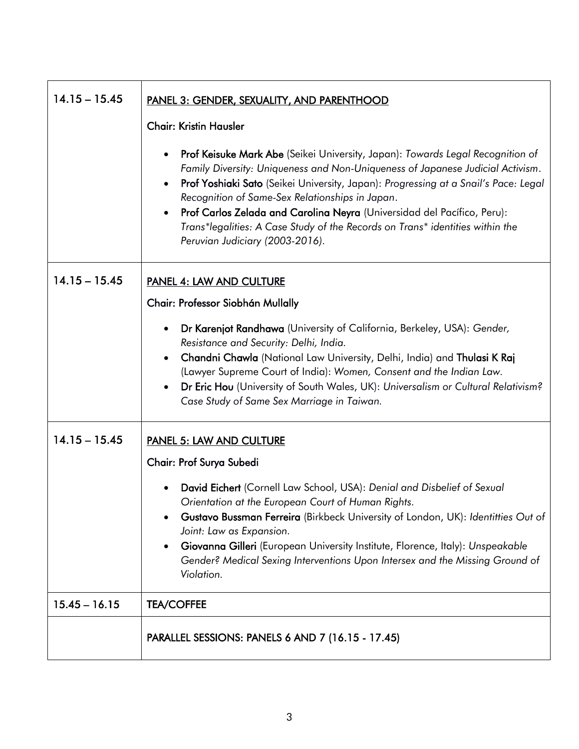| $14.15 - 15.45$ | <b>PANEL 3: GENDER, SEXUALITY, AND PARENTHOOD</b>                                                                                                                                                                                                                                                                                                                                                                                                                                                                                   |
|-----------------|-------------------------------------------------------------------------------------------------------------------------------------------------------------------------------------------------------------------------------------------------------------------------------------------------------------------------------------------------------------------------------------------------------------------------------------------------------------------------------------------------------------------------------------|
|                 | <b>Chair: Kristin Hausler</b>                                                                                                                                                                                                                                                                                                                                                                                                                                                                                                       |
|                 | Prof Keisuke Mark Abe (Seikei University, Japan): Towards Legal Recognition of<br>$\bullet$<br>Family Diversity: Uniqueness and Non-Uniqueness of Japanese Judicial Activism.<br>Prof Yoshiaki Sato (Seikei University, Japan): Progressing at a Snail's Pace: Legal<br>$\bullet$<br>Recognition of Same-Sex Relationships in Japan.<br>Prof Carlos Zelada and Carolina Neyra (Universidad del Pacífico, Peru):<br>Trans*legalities: A Case Study of the Records on Trans* identities within the<br>Peruvian Judiciary (2003-2016). |
| $14.15 - 15.45$ | PANEL 4: LAW AND CULTURE                                                                                                                                                                                                                                                                                                                                                                                                                                                                                                            |
|                 | Chair: Professor Siobhán Mullally                                                                                                                                                                                                                                                                                                                                                                                                                                                                                                   |
|                 | Dr Karenjot Randhawa (University of California, Berkeley, USA): Gender,<br>$\bullet$<br>Resistance and Security: Delhi, India.<br>Chandni Chawla (National Law University, Delhi, India) and Thulasi K Raj<br>$\bullet$<br>(Lawyer Supreme Court of India): Women, Consent and the Indian Law.<br>Dr Eric Hou (University of South Wales, UK): Universalism or Cultural Relativism?<br>$\bullet$<br>Case Study of Same Sex Marriage in Taiwan.                                                                                      |
| $14.15 - 15.45$ | <b>PANEL 5: LAW AND CULTURE</b>                                                                                                                                                                                                                                                                                                                                                                                                                                                                                                     |
|                 | Chair: Prof Surya Subedi                                                                                                                                                                                                                                                                                                                                                                                                                                                                                                            |
|                 | David Eichert (Cornell Law School, USA): Denial and Disbelief of Sexual<br>Orientation at the European Court of Human Rights.<br>Gustavo Bussman Ferreira (Birkbeck University of London, UK): Identitties Out of<br>Joint: Law as Expansion.<br>Giovanna Gilleri (European University Institute, Florence, Italy): Unspeakable<br>Gender? Medical Sexing Interventions Upon Intersex and the Missing Ground of<br>Violation.                                                                                                       |
| $15.45 - 16.15$ | <b>TEA/COFFEE</b>                                                                                                                                                                                                                                                                                                                                                                                                                                                                                                                   |
|                 | PARALLEL SESSIONS: PANELS 6 AND 7 (16.15 - 17.45)                                                                                                                                                                                                                                                                                                                                                                                                                                                                                   |